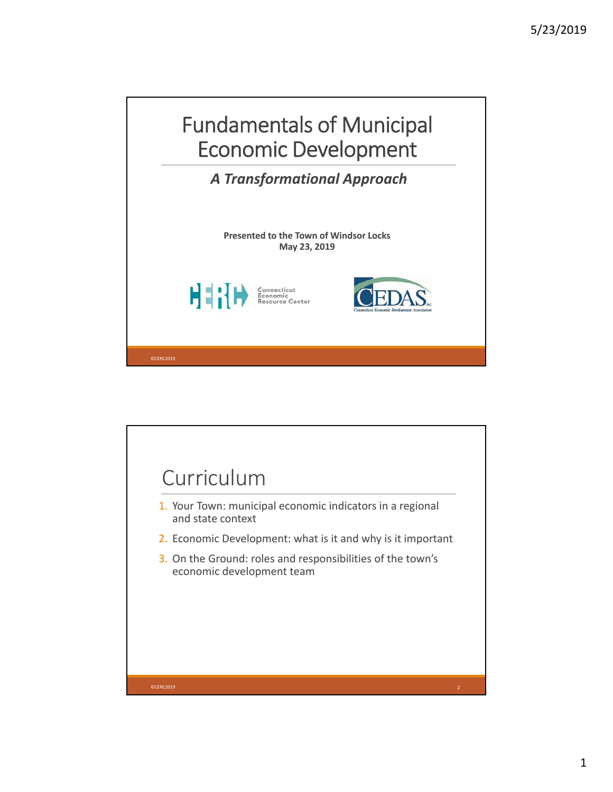

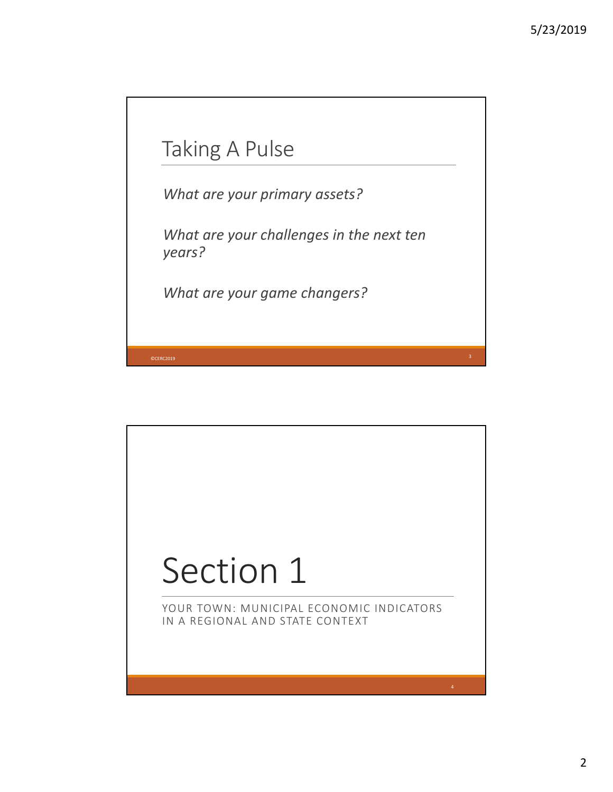

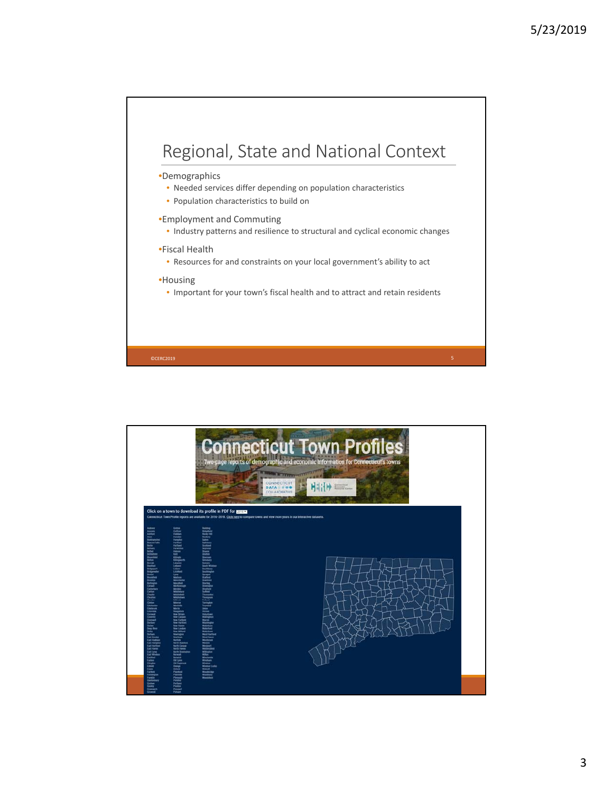

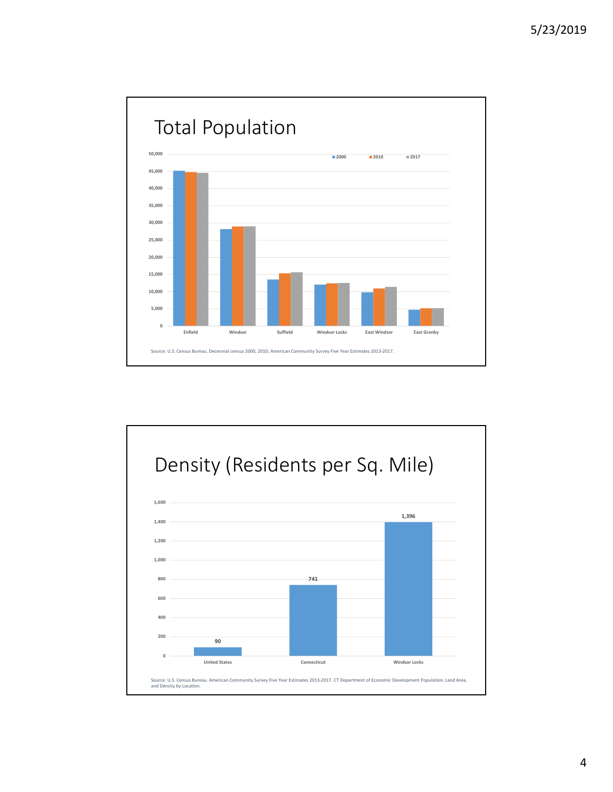

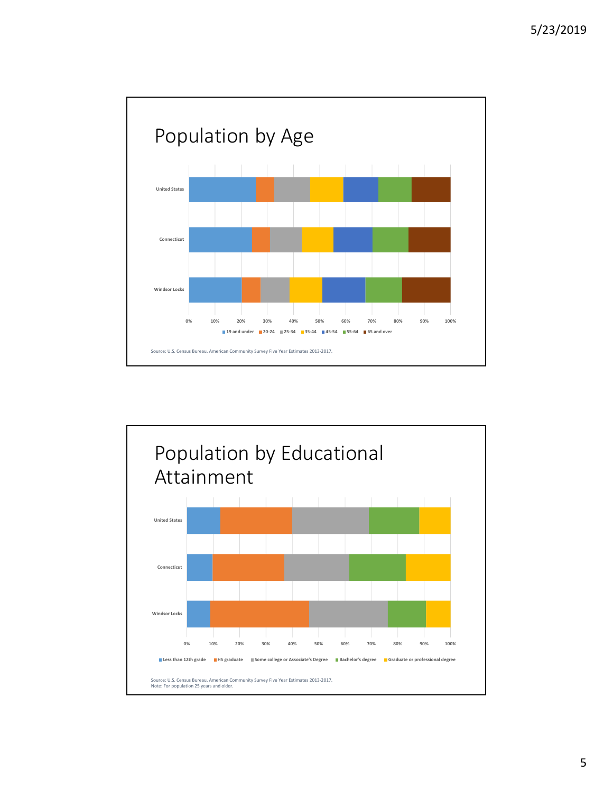

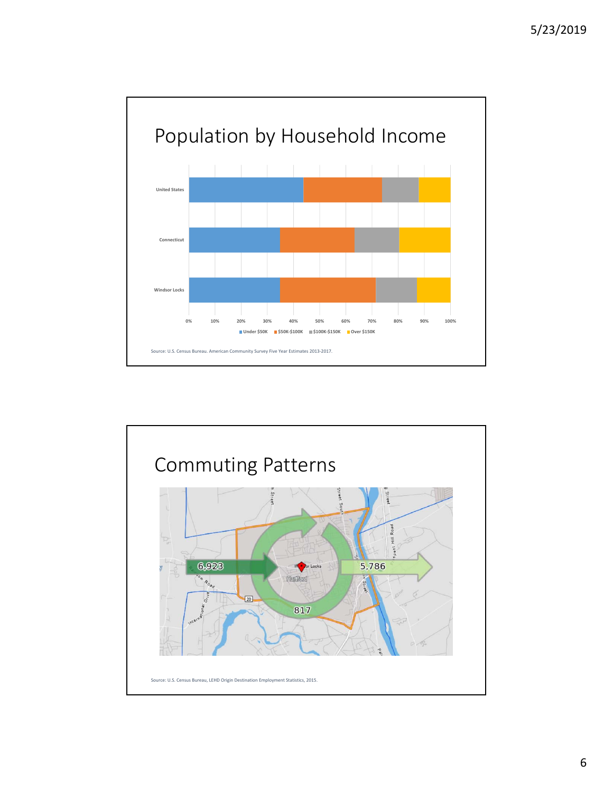

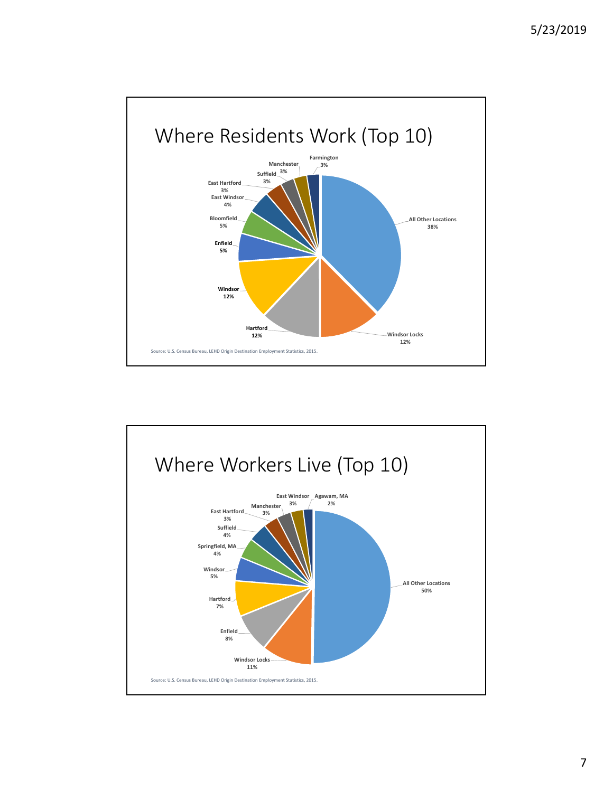

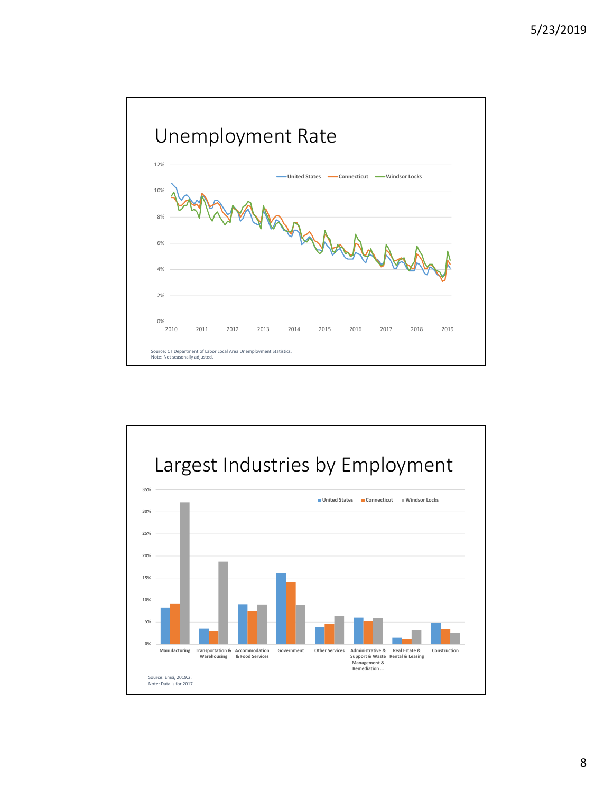

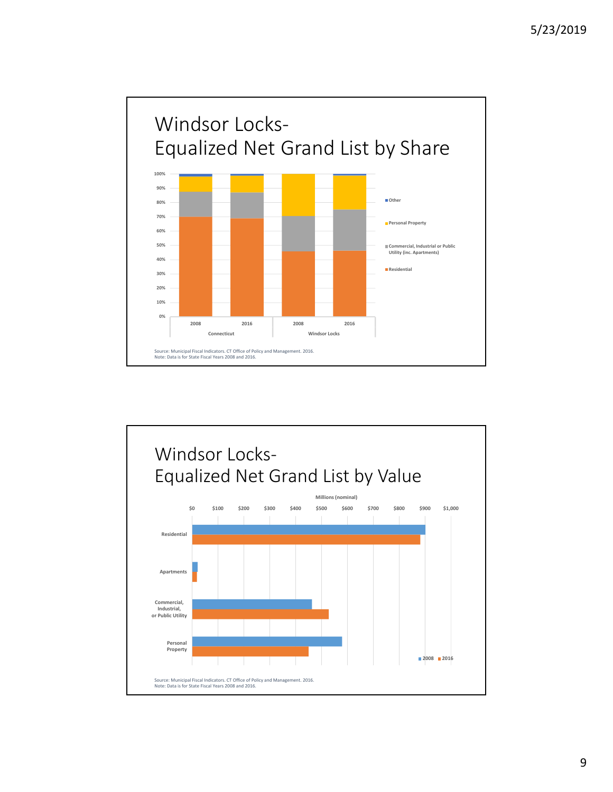

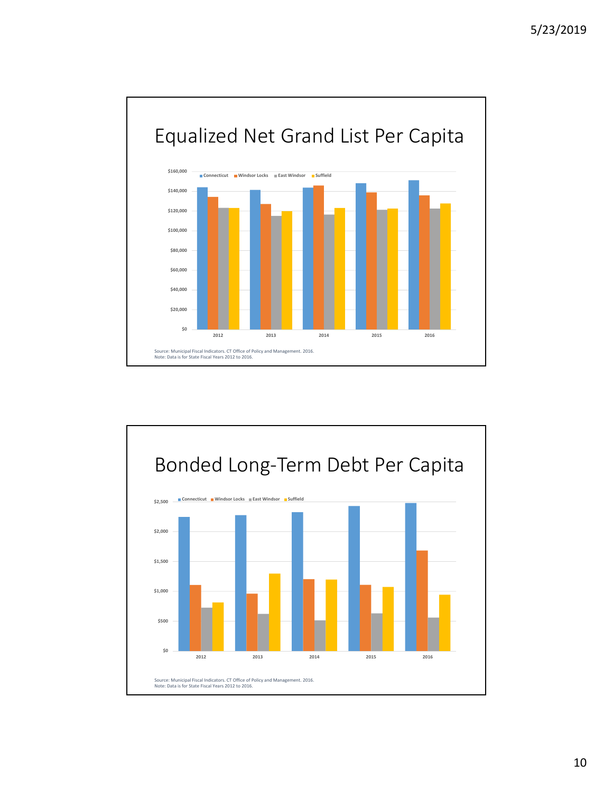

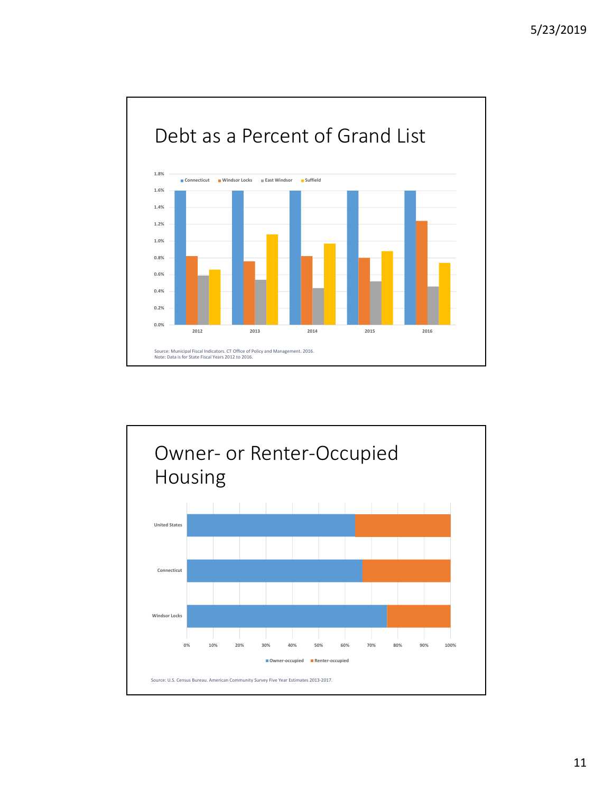

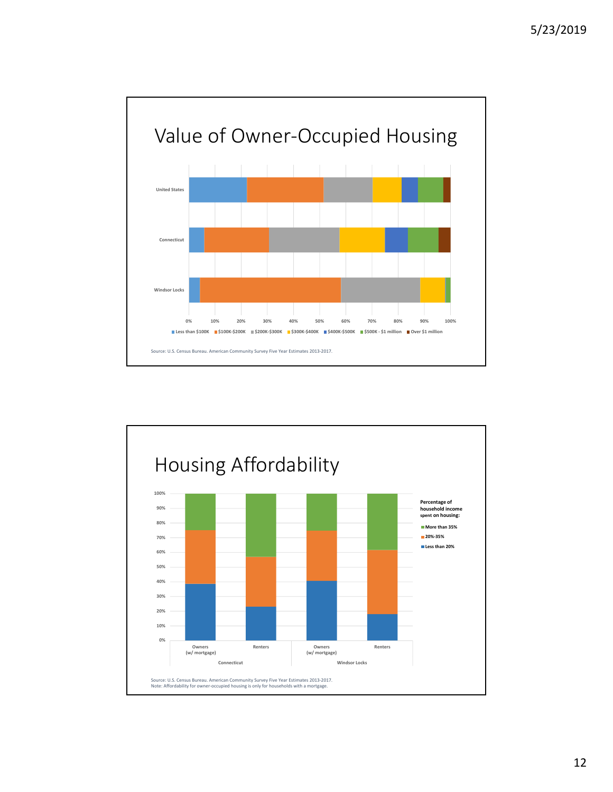

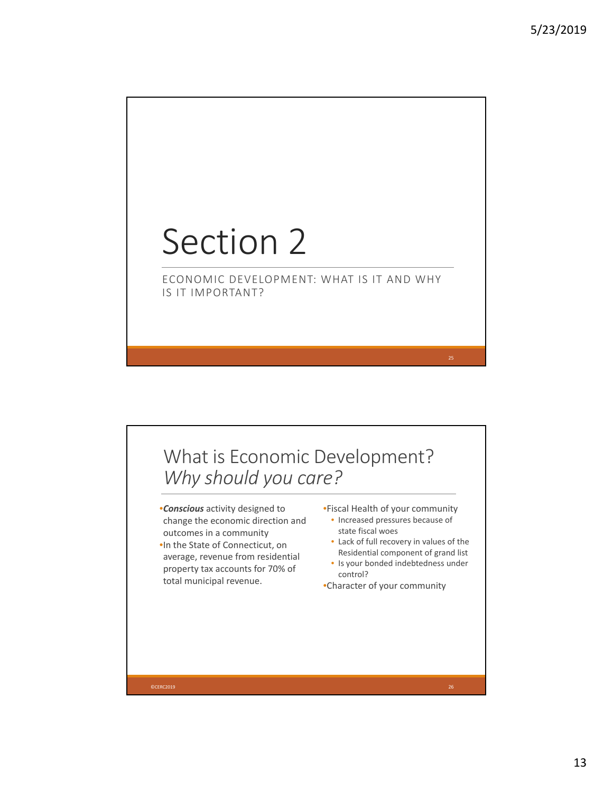# Section 2

ECONOMIC DEVELOPMENT: WHAT IS IT AND WHY IS IT IMPORTANT?

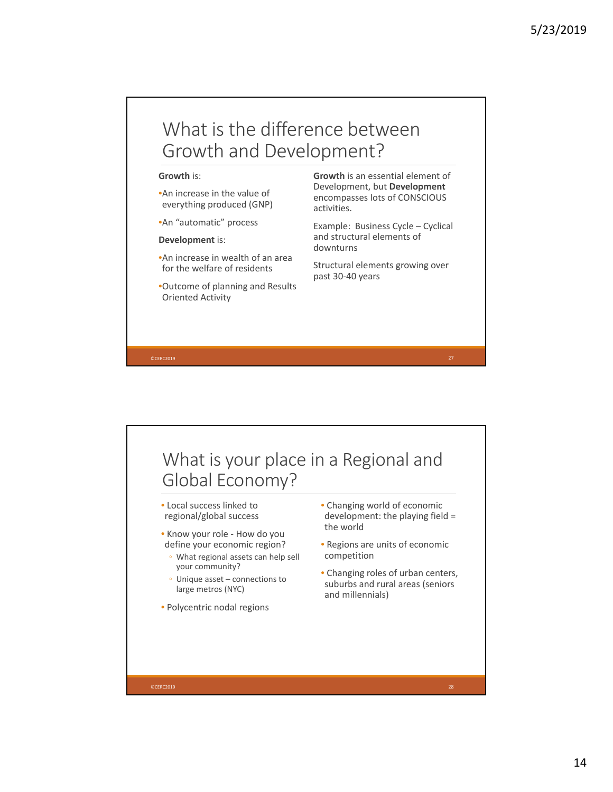## What is the difference between Growth and Development?

### **Growth** is:

- •An increase in the value of everything produced (GNP)
- •An "automatic" process

#### **Development** is:

- •An increase in wealth of an area for the welfare of residents
- •Outcome of planning and Results Oriented Activity

**Growth** is an essential element of Development, but **Development** encompasses lots of CONSCIOUS activities.

Example: Business Cycle – Cyclical and structural elements of downturns

Structural elements growing over past 30‐40 years

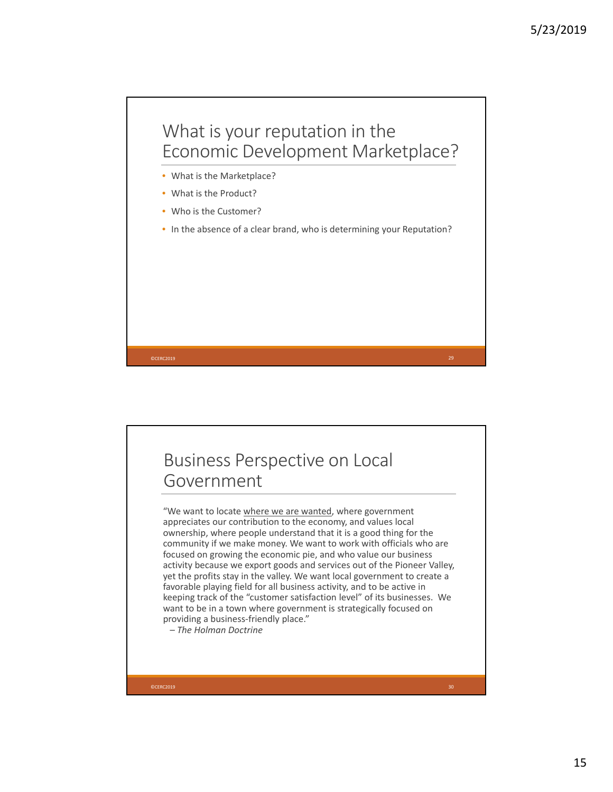

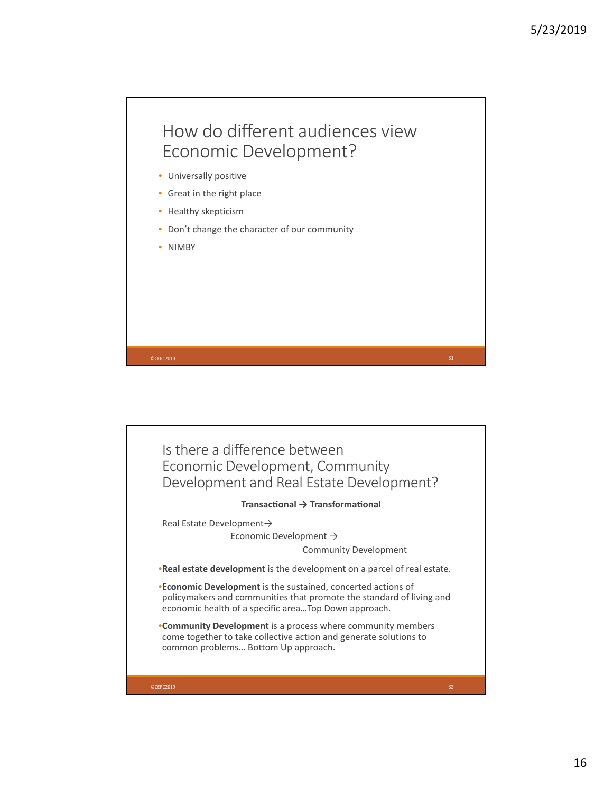## How do different audiences view Economic Development?

- Universally positive
- Great in the right place
- Healthy skepticism
- Don't change the character of our community
- NIMBY

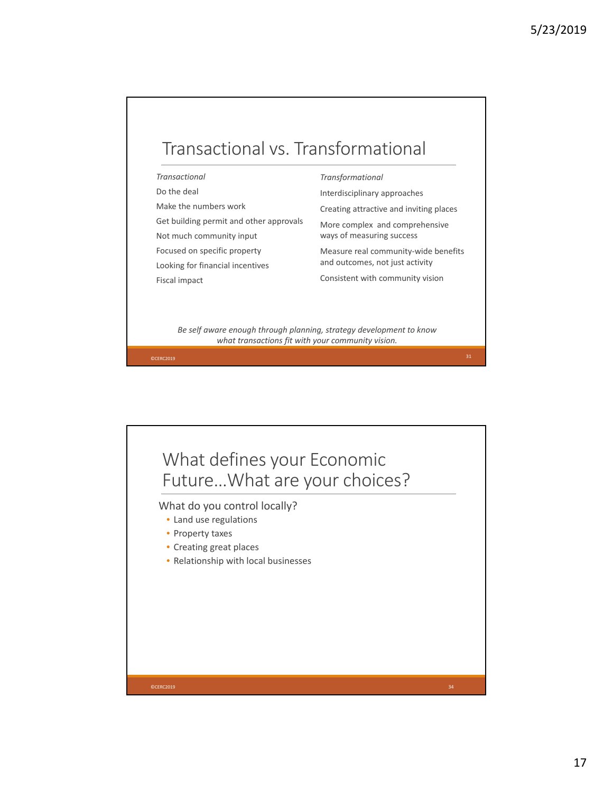

## *Transactional*

Do the deal

Make the numbers work

Get building permit and other approvals

Not much community input

Focused on specific property

Looking for financial incentives

Fiscal impact

*Transformational*

Interdisciplinary approaches

Creating attractive and inviting places

More complex and comprehensive ways of measuring success

Measure real community‐wide benefits and outcomes, not just activity

Consistent with community vision

*Be self aware enough through planning, strategy development to know what transactions fit with your community vision.*

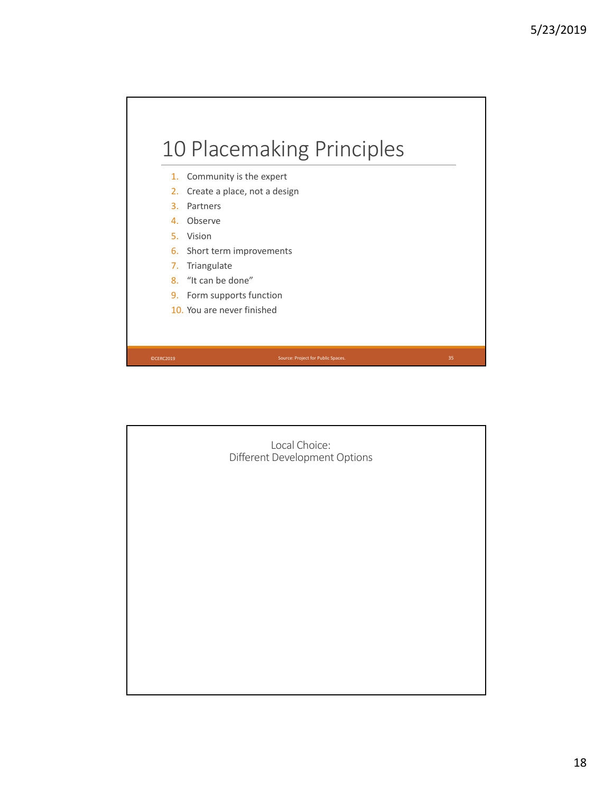

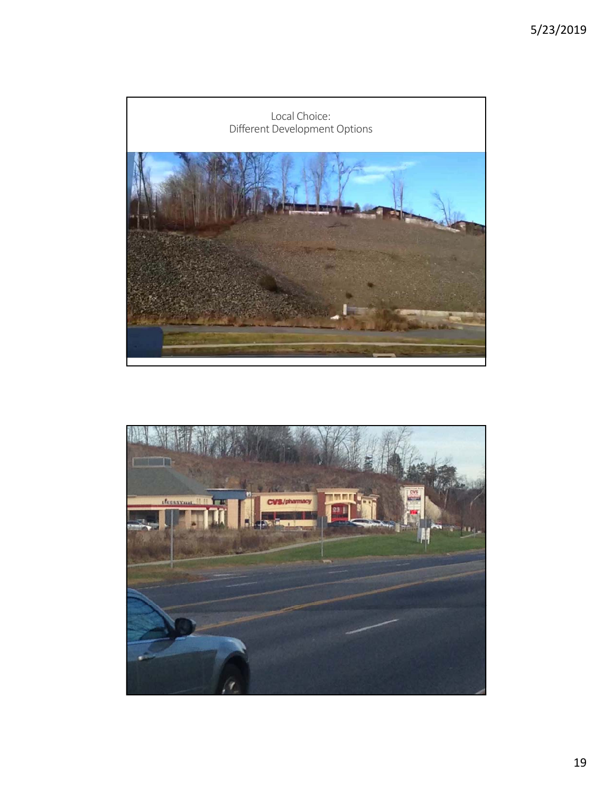

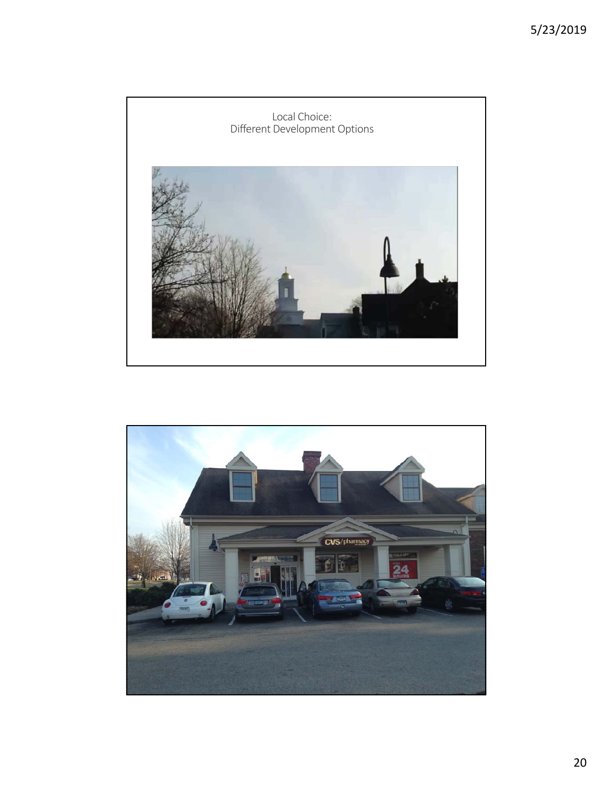

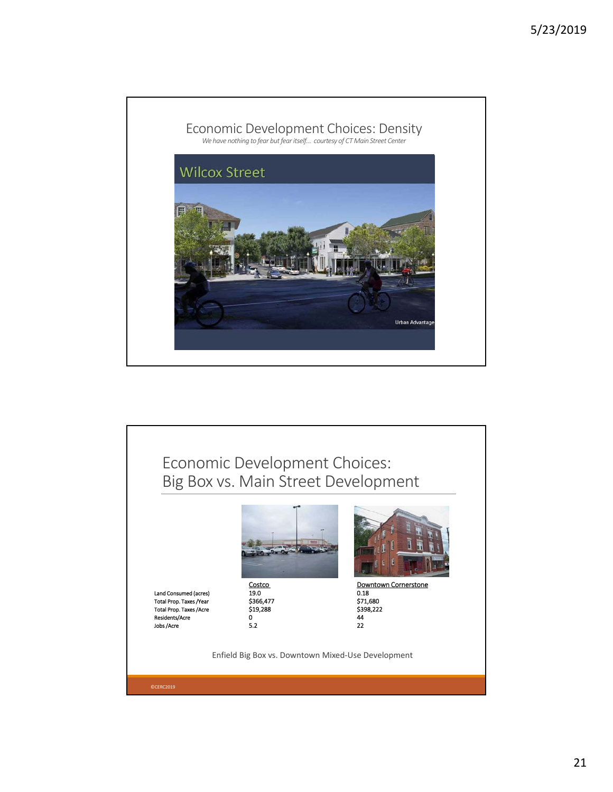

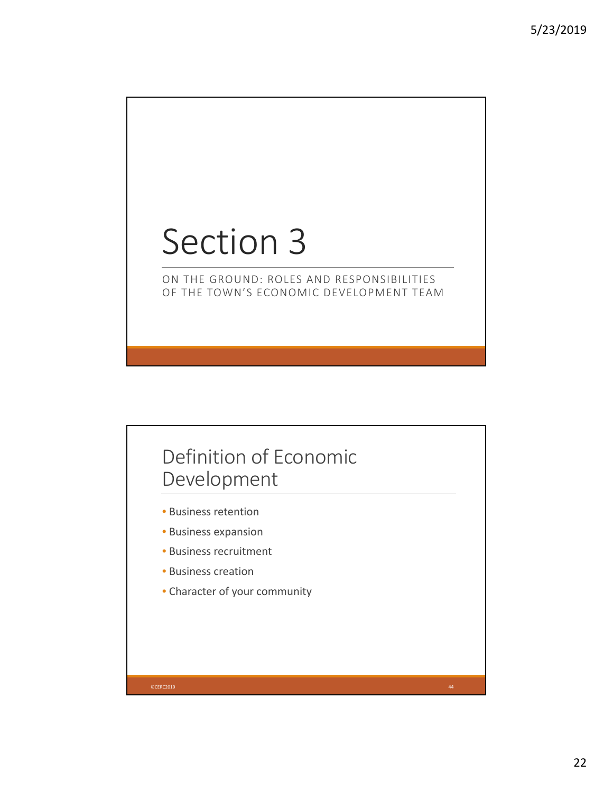# Section 3

## ON THE GROUND: ROLES AND RESPONSIBILITIES OF THE TOWN'S ECONOMIC DEVELOPMENT TEAM

# Definition of Economic Development

- Business retention
- Business expansion
- Business recruitment
- Business creation
- Character of your community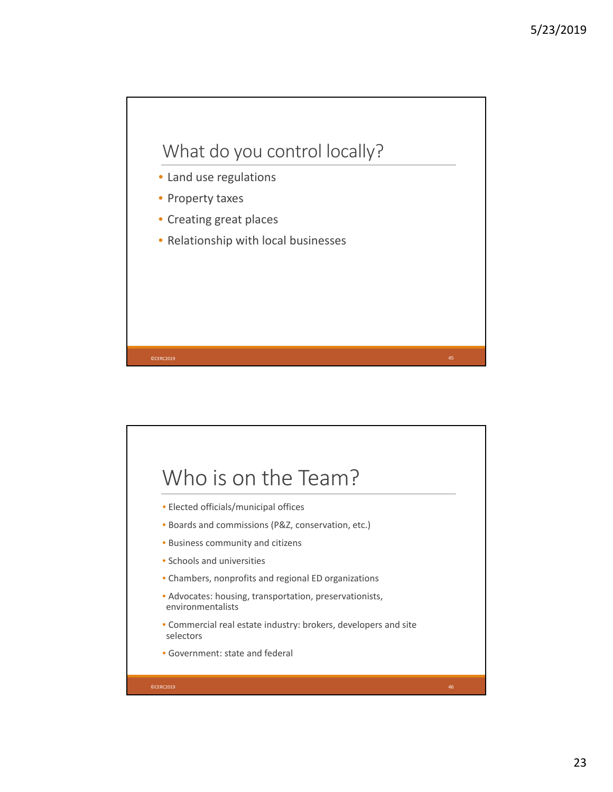

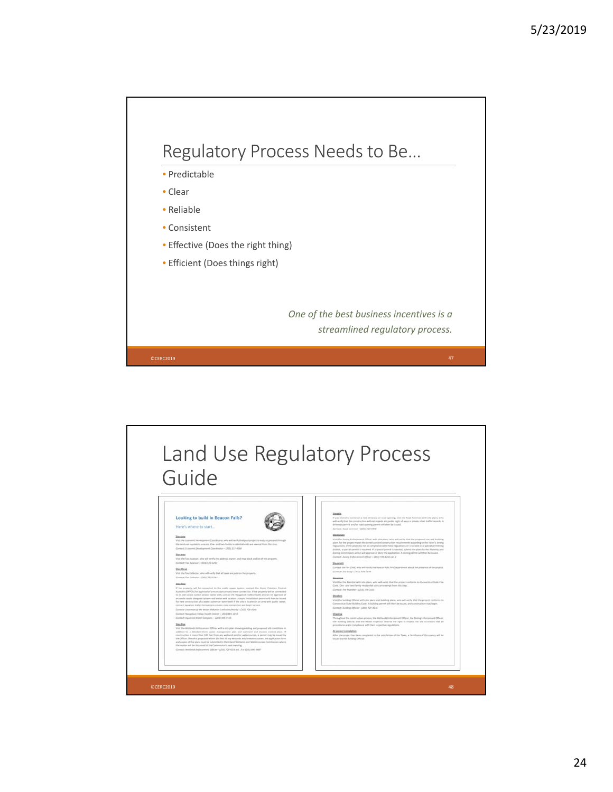

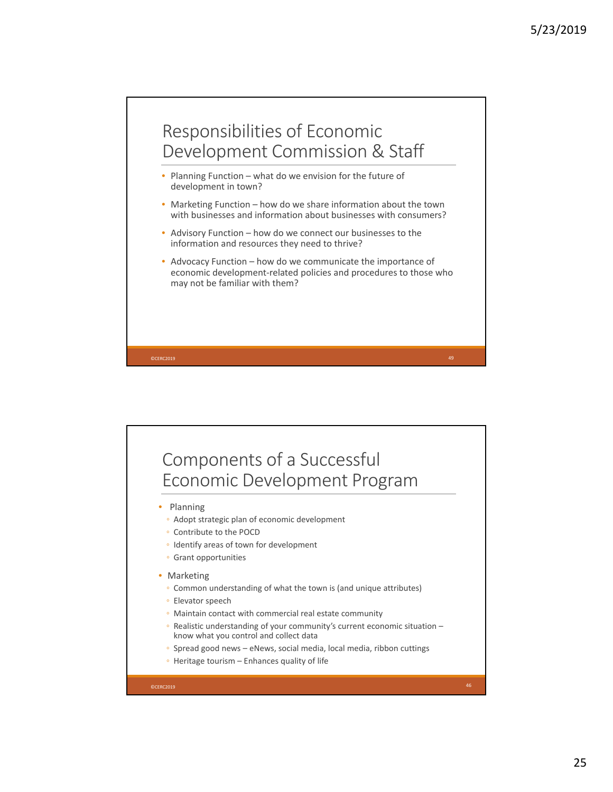

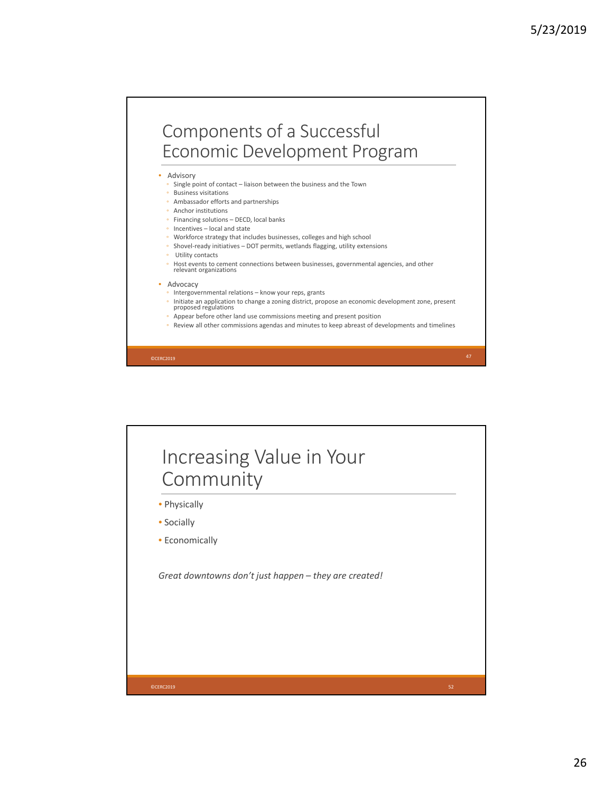# Components of a Successful Economic Development Program

**Advisory** 

- Single point of contact liaison between the business and the Town
- Business visitations
- Ambassador efforts and partnerships
- Anchor institutions
- Financing solutions DECD, local banks
- Incentives local and state
- Workforce strategy that includes businesses, colleges and high school
- Shovel‐ready initiatives DOT permits, wetlands flagging, utility extensions
- Utility contacts
- Host events to cement connections between businesses, governmental agencies, and other relevant organizations

#### • Advocacy

- Intergovernmental relations know your reps, grants
- $\circ$  Initiate an application to change a zoning district, propose an economic development zone, present proposed regulations
- Appear before other land use commissions meeting and present position
- Review all other commissions agendas and minutes to keep abreast of developments and timelines